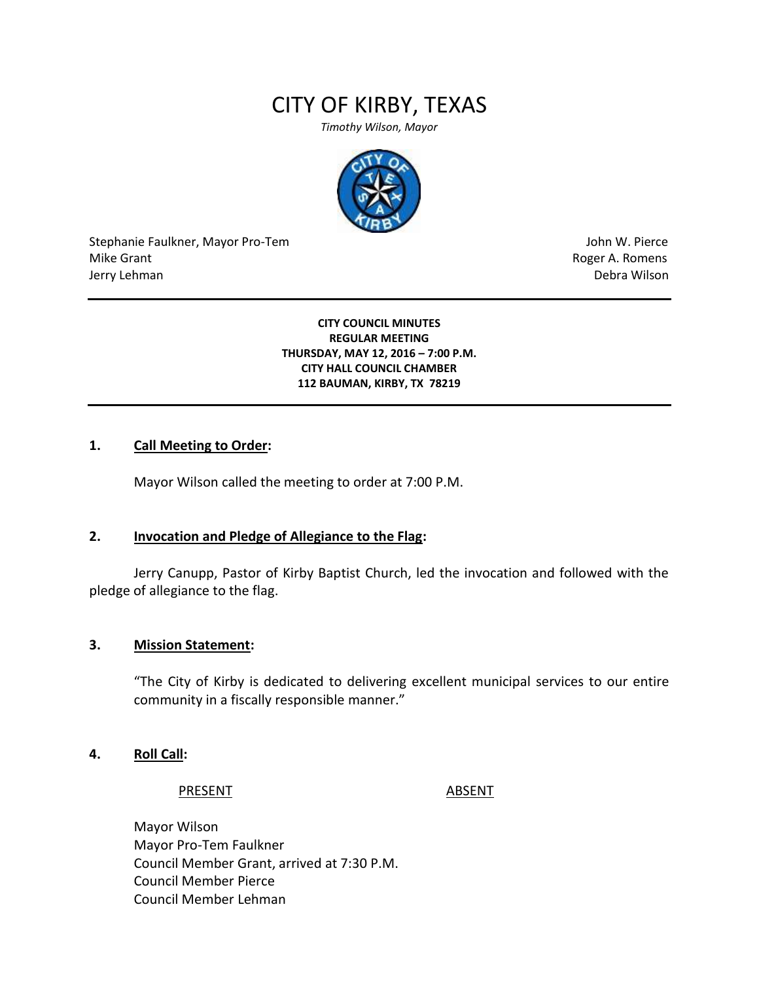# CITY OF KIRBY, TEXAS

*Timothy Wilson, Mayor*



Stephanie Faulkner, Mayor Pro-Tem John W. Pierce Mike Grant **Mike Grant** Roger A. Romens and Roger A. Romens and Roger A. Romens and Roger A. Romens and Roger A. Romens and Roger A. Romens and Roger A. Romens and Roger A. Romens and Roger A. Romens and Roger A. Romens an Jerry Lehman Debra Wilson (2008) and the state of the state of the state of the state of the state of the state of the state of the state of the state of the state of the state of the state of the state of the state of the

**CITY COUNCIL MINUTES REGULAR MEETING THURSDAY, MAY 12, 2016 – 7:00 P.M. CITY HALL COUNCIL CHAMBER 112 BAUMAN, KIRBY, TX 78219**

## **1. Call Meeting to Order:**

Mayor Wilson called the meeting to order at 7:00 P.M.

#### **2. Invocation and Pledge of Allegiance to the Flag:**

Jerry Canupp, Pastor of Kirby Baptist Church, led the invocation and followed with the pledge of allegiance to the flag.

#### **3. Mission Statement:**

"The City of Kirby is dedicated to delivering excellent municipal services to our entire community in a fiscally responsible manner."

#### **4. Roll Call:**

#### PRESENT ABSENT

Mayor Wilson Mayor Pro-Tem Faulkner Council Member Grant, arrived at 7:30 P.M. Council Member Pierce Council Member Lehman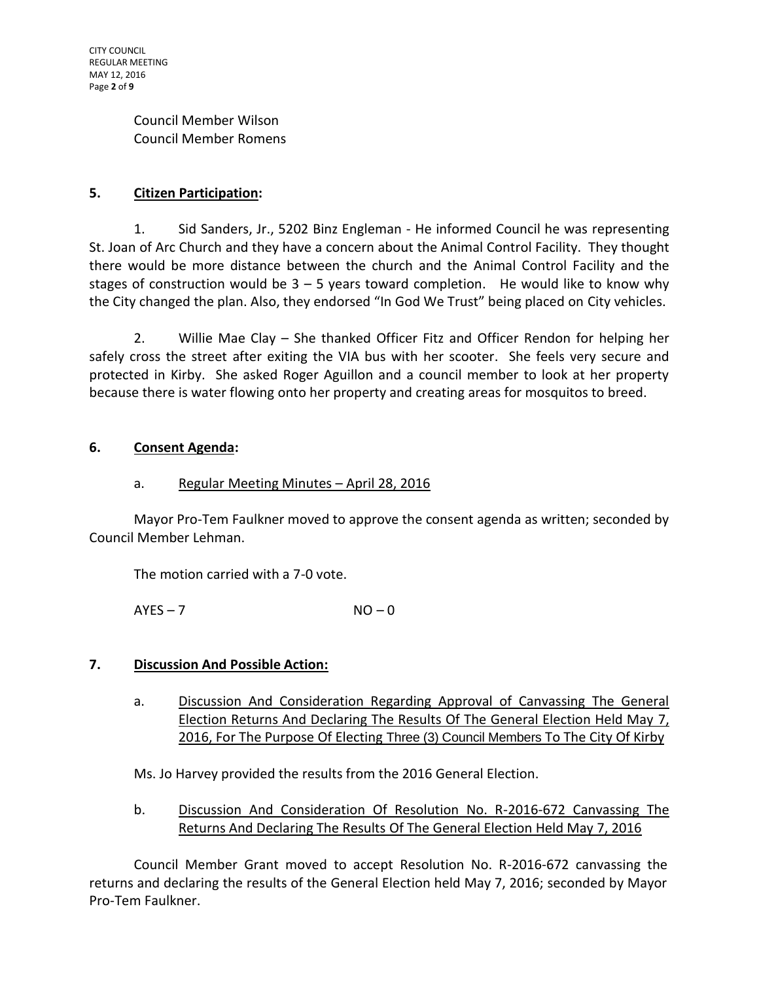Council Member Wilson Council Member Romens

## **5. Citizen Participation:**

1. Sid Sanders, Jr., 5202 Binz Engleman - He informed Council he was representing St. Joan of Arc Church and they have a concern about the Animal Control Facility. They thought there would be more distance between the church and the Animal Control Facility and the stages of construction would be  $3 - 5$  years toward completion. He would like to know why the City changed the plan. Also, they endorsed "In God We Trust" being placed on City vehicles.

2. Willie Mae Clay – She thanked Officer Fitz and Officer Rendon for helping her safely cross the street after exiting the VIA bus with her scooter. She feels very secure and protected in Kirby. She asked Roger Aguillon and a council member to look at her property because there is water flowing onto her property and creating areas for mosquitos to breed.

## **6. Consent Agenda:**

## a. Regular Meeting Minutes – April 28, 2016

Mayor Pro-Tem Faulkner moved to approve the consent agenda as written; seconded by Council Member Lehman.

The motion carried with a 7-0 vote.

 $AYES - 7$   $NO - 0$ 

## **7. Discussion And Possible Action:**

a. Discussion And Consideration Regarding Approval of Canvassing The General Election Returns And Declaring The Results Of The General Election Held May 7, 2016, For The Purpose Of Electing Three (3) Council Members To The City Of Kirby

Ms. Jo Harvey provided the results from the 2016 General Election.

b. Discussion And Consideration Of Resolution No. R-2016-672 Canvassing The Returns And Declaring The Results Of The General Election Held May 7, 2016

Council Member Grant moved to accept Resolution No. R-2016-672 canvassing the returns and declaring the results of the General Election held May 7, 2016; seconded by Mayor Pro-Tem Faulkner.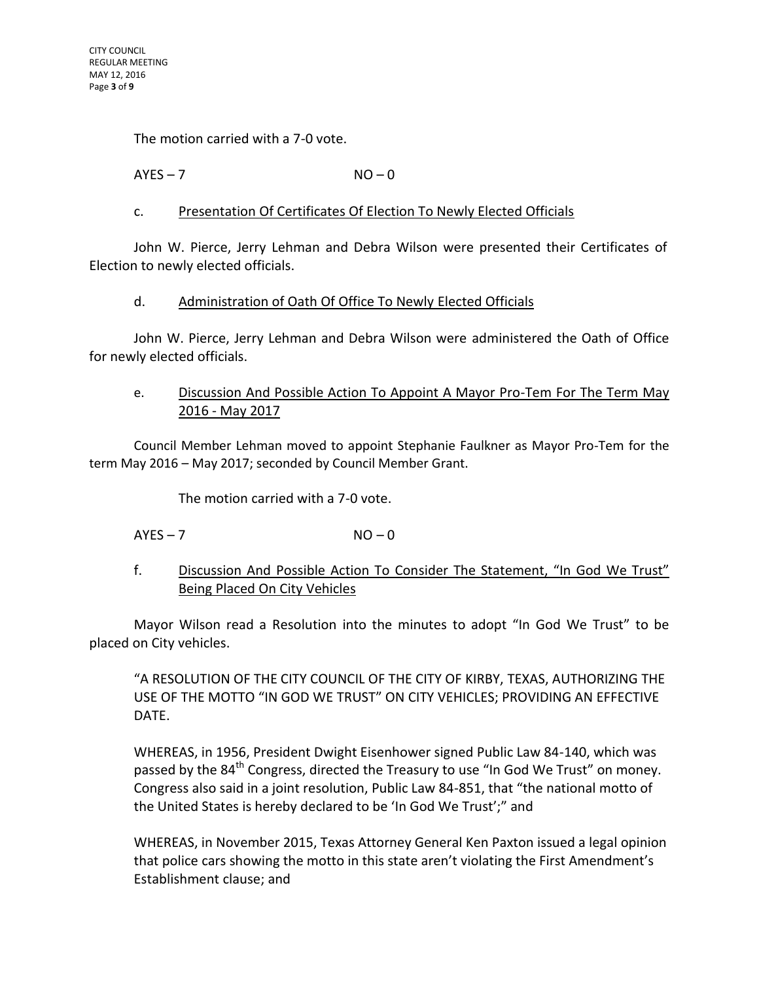The motion carried with a 7-0 vote.

## $AYES - 7$   $NO - 0$

## c. Presentation Of Certificates Of Election To Newly Elected Officials

John W. Pierce, Jerry Lehman and Debra Wilson were presented their Certificates of Election to newly elected officials.

#### d. Administration of Oath Of Office To Newly Elected Officials

John W. Pierce, Jerry Lehman and Debra Wilson were administered the Oath of Office for newly elected officials.

## e. Discussion And Possible Action To Appoint A Mayor Pro-Tem For The Term May 2016 - May 2017

Council Member Lehman moved to appoint Stephanie Faulkner as Mayor Pro-Tem for the term May 2016 – May 2017; seconded by Council Member Grant.

The motion carried with a 7-0 vote.

## $AYES - 7$   $NO - 0$

f. Discussion And Possible Action To Consider The Statement, "In God We Trust" Being Placed On City Vehicles

Mayor Wilson read a Resolution into the minutes to adopt "In God We Trust" to be placed on City vehicles.

"A RESOLUTION OF THE CITY COUNCIL OF THE CITY OF KIRBY, TEXAS, AUTHORIZING THE USE OF THE MOTTO "IN GOD WE TRUST" ON CITY VEHICLES; PROVIDING AN EFFECTIVE DATE.

WHEREAS, in 1956, President Dwight Eisenhower signed Public Law 84-140, which was passed by the 84<sup>th</sup> Congress, directed the Treasury to use "In God We Trust" on money. Congress also said in a joint resolution, Public Law 84-851, that "the national motto of the United States is hereby declared to be 'In God We Trust';" and

WHEREAS, in November 2015, Texas Attorney General Ken Paxton issued a legal opinion that police cars showing the motto in this state aren't violating the First Amendment's Establishment clause; and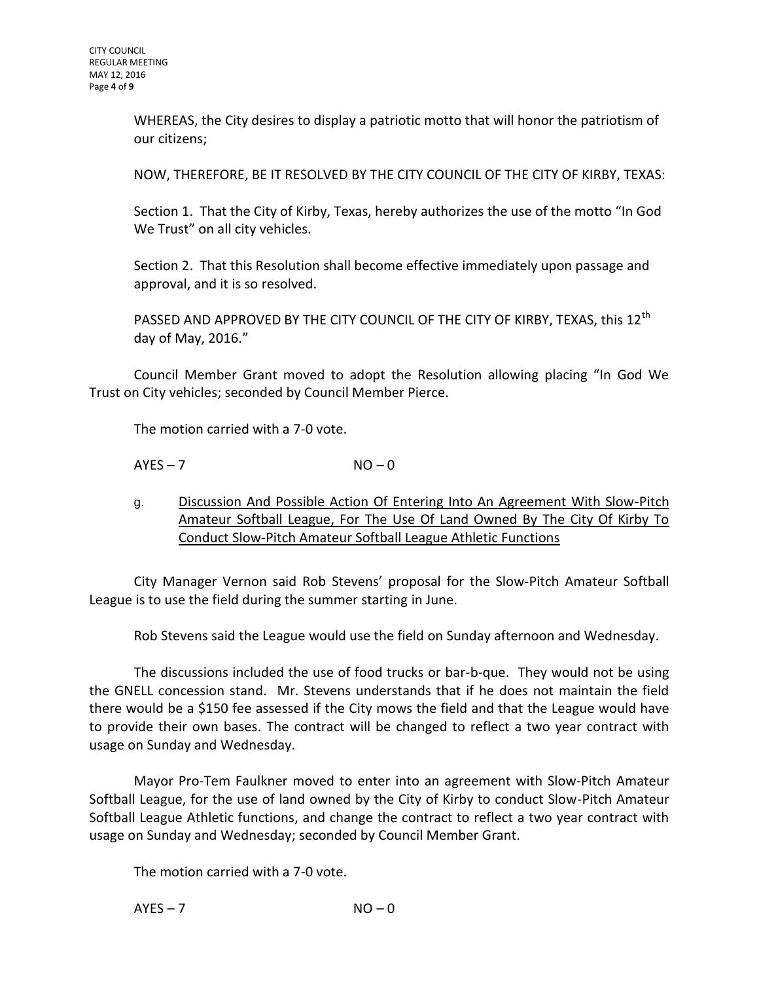WHEREAS, the City desires to display a patriotic motto that will honor the patriotism of our citizens;

NOW, THEREFORE, BE IT RESOLVED BY THE CITY COUNCIL OF THE CITY OF KIRBY, TEXAS:

Section 1. That the City of Kirby, Texas, hereby authorizes the use of the motto "In God We Trust" on all city vehicles.

Section 2. That this Resolution shall become effective immediately upon passage and approval, and it is so resolved.

PASSED AND APPROVED BY THE CITY COUNCIL OF THE CITY OF KIRBY, TEXAS, this 12<sup>th</sup> day of May, 2016."

Council Member Grant moved to adopt the Resolution allowing placing "In God We Trust on City vehicles; seconded by Council Member Pierce.

The motion carried with a 7-0 vote.

 $AYES - 7$   $NO - 0$ 

g. Discussion And Possible Action Of Entering Into An Agreement With Slow-Pitch Amateur Softball League, For The Use Of Land Owned By The City Of Kirby To Conduct Slow-Pitch Amateur Softball League Athletic Functions

City Manager Vernon said Rob Stevens' proposal for the Slow-Pitch Amateur Softball League is to use the field during the summer starting in June.

Rob Stevens said the League would use the field on Sunday afternoon and Wednesday.

The discussions included the use of food trucks or bar-b-que. They would not be using the GNELL concession stand. Mr. Stevens understands that if he does not maintain the field there would be a \$150 fee assessed if the City mows the field and that the League would have to provide their own bases. The contract will be changed to reflect a two year contract with usage on Sunday and Wednesday.

Mayor Pro-Tem Faulkner moved to enter into an agreement with Slow-Pitch Amateur Softball League, for the use of land owned by the City of Kirby to conduct Slow-Pitch Amateur Softball League Athletic functions, and change the contract to reflect a two year contract with usage on Sunday and Wednesday; seconded by Council Member Grant.

The motion carried with a 7-0 vote.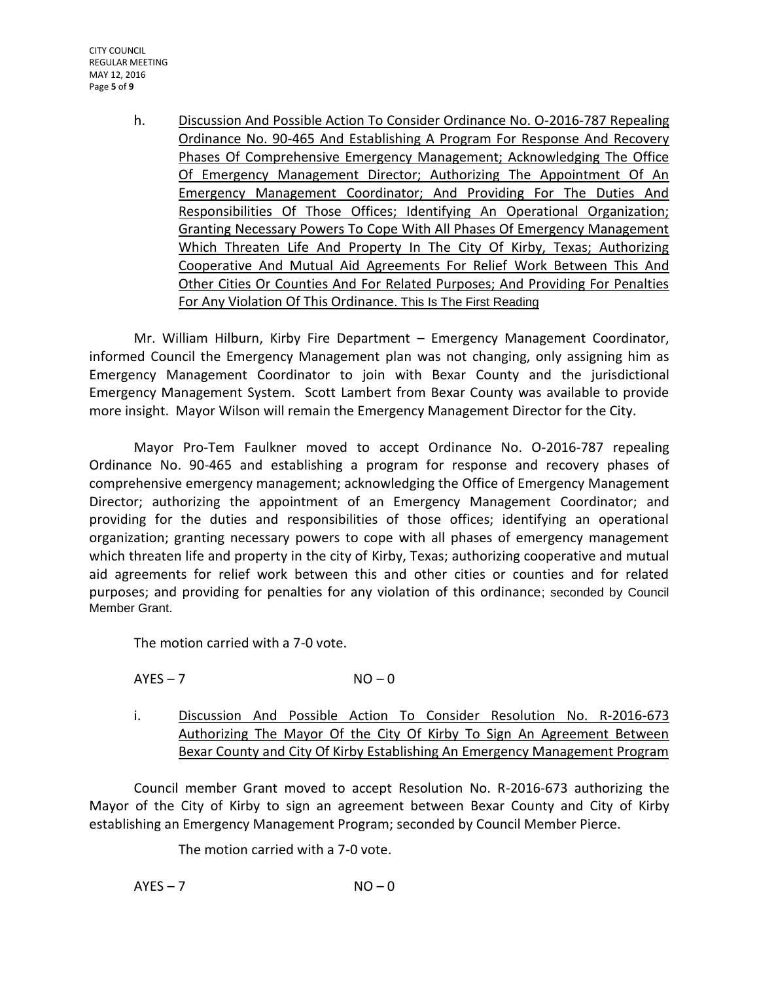CITY COUNCIL REGULAR MEETING MAY 12, 2016 Page **5** of **9**

> h. Discussion And Possible Action To Consider Ordinance No. O-2016-787 Repealing Ordinance No. 90-465 And Establishing A Program For Response And Recovery Phases Of Comprehensive Emergency Management; Acknowledging The Office Of Emergency Management Director; Authorizing The Appointment Of An Emergency Management Coordinator; And Providing For The Duties And Responsibilities Of Those Offices; Identifying An Operational Organization; Granting Necessary Powers To Cope With All Phases Of Emergency Management Which Threaten Life And Property In The City Of Kirby, Texas; Authorizing Cooperative And Mutual Aid Agreements For Relief Work Between This And Other Cities Or Counties And For Related Purposes; And Providing For Penalties For Any Violation Of This Ordinance. This Is The First Reading

Mr. William Hilburn, Kirby Fire Department – Emergency Management Coordinator, informed Council the Emergency Management plan was not changing, only assigning him as Emergency Management Coordinator to join with Bexar County and the jurisdictional Emergency Management System. Scott Lambert from Bexar County was available to provide more insight. Mayor Wilson will remain the Emergency Management Director for the City.

Mayor Pro-Tem Faulkner moved to accept Ordinance No. O-2016-787 repealing Ordinance No. 90-465 and establishing a program for response and recovery phases of comprehensive emergency management; acknowledging the Office of Emergency Management Director; authorizing the appointment of an Emergency Management Coordinator; and providing for the duties and responsibilities of those offices; identifying an operational organization; granting necessary powers to cope with all phases of emergency management which threaten life and property in the city of Kirby, Texas; authorizing cooperative and mutual aid agreements for relief work between this and other cities or counties and for related purposes; and providing for penalties for any violation of this ordinance; seconded by Council Member Grant.

The motion carried with a 7-0 vote.

 $AYES - 7$   $NO - 0$ 

i. Discussion And Possible Action To Consider Resolution No. R-2016-673 Authorizing The Mayor Of the City Of Kirby To Sign An Agreement Between Bexar County and City Of Kirby Establishing An Emergency Management Program

Council member Grant moved to accept Resolution No. R-2016-673 authorizing the Mayor of the City of Kirby to sign an agreement between Bexar County and City of Kirby establishing an Emergency Management Program; seconded by Council Member Pierce.

The motion carried with a 7-0 vote.

 $AYES - 7$   $NO - 0$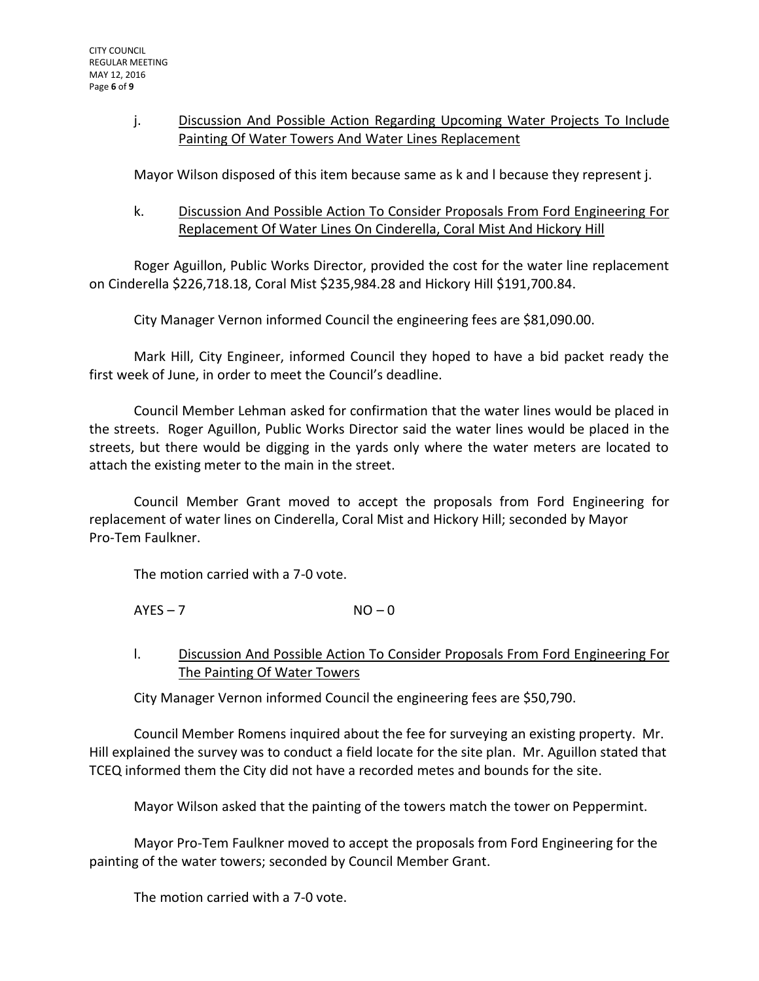## j. Discussion And Possible Action Regarding Upcoming Water Projects To Include Painting Of Water Towers And Water Lines Replacement

Mayor Wilson disposed of this item because same as k and l because they represent j.

k. Discussion And Possible Action To Consider Proposals From Ford Engineering For Replacement Of Water Lines On Cinderella, Coral Mist And Hickory Hill

Roger Aguillon, Public Works Director, provided the cost for the water line replacement on Cinderella \$226,718.18, Coral Mist \$235,984.28 and Hickory Hill \$191,700.84.

City Manager Vernon informed Council the engineering fees are \$81,090.00.

Mark Hill, City Engineer, informed Council they hoped to have a bid packet ready the first week of June, in order to meet the Council's deadline.

Council Member Lehman asked for confirmation that the water lines would be placed in the streets. Roger Aguillon, Public Works Director said the water lines would be placed in the streets, but there would be digging in the yards only where the water meters are located to attach the existing meter to the main in the street.

Council Member Grant moved to accept the proposals from Ford Engineering for replacement of water lines on Cinderella, Coral Mist and Hickory Hill; seconded by Mayor Pro-Tem Faulkner.

The motion carried with a 7-0 vote.

 $AYES - 7$   $NO - 0$ 

l. Discussion And Possible Action To Consider Proposals From Ford Engineering For The Painting Of Water Towers

City Manager Vernon informed Council the engineering fees are \$50,790.

Council Member Romens inquired about the fee for surveying an existing property. Mr. Hill explained the survey was to conduct a field locate for the site plan. Mr. Aguillon stated that TCEQ informed them the City did not have a recorded metes and bounds for the site.

Mayor Wilson asked that the painting of the towers match the tower on Peppermint.

Mayor Pro-Tem Faulkner moved to accept the proposals from Ford Engineering for the painting of the water towers; seconded by Council Member Grant.

The motion carried with a 7-0 vote.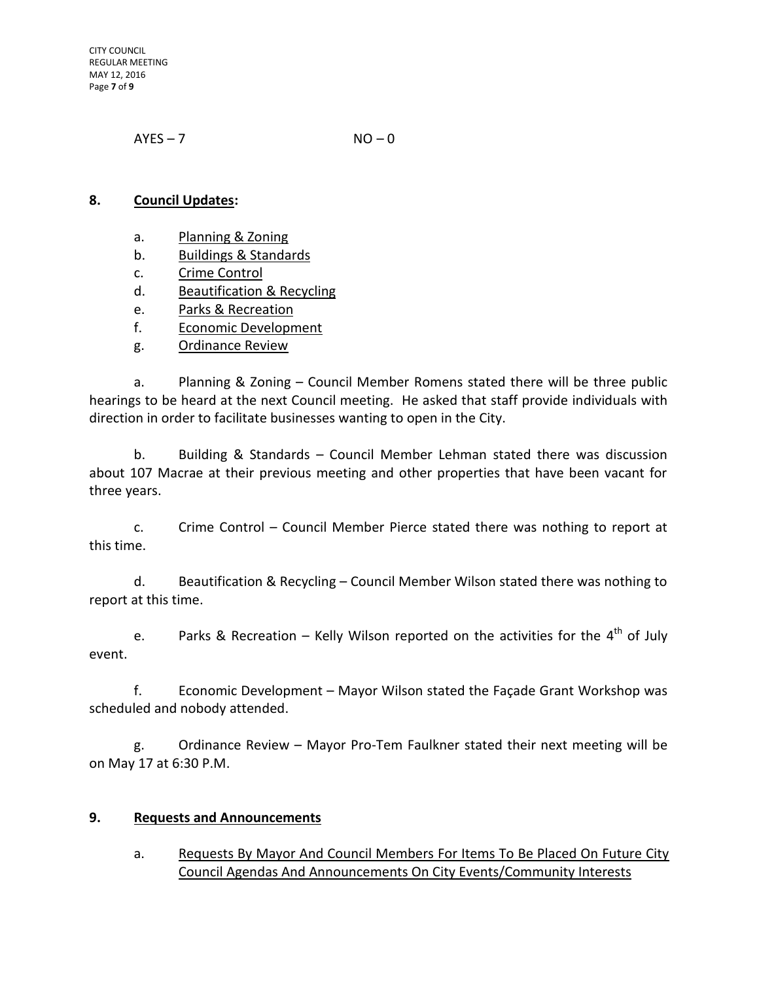CITY COUNCIL REGULAR MEETING MAY 12, 2016 Page **7** of **9**

 $AYES - 7$   $NO - 0$ 

## **8. Council Updates:**

- a. Planning & Zoning
- b. Buildings & Standards
- c. Crime Control
- d. Beautification & Recycling
- e. Parks & Recreation
- f. Economic Development
- g. Ordinance Review

a. Planning & Zoning – Council Member Romens stated there will be three public hearings to be heard at the next Council meeting. He asked that staff provide individuals with direction in order to facilitate businesses wanting to open in the City.

b. Building & Standards – Council Member Lehman stated there was discussion about 107 Macrae at their previous meeting and other properties that have been vacant for three years.

c. Crime Control – Council Member Pierce stated there was nothing to report at this time.

d. Beautification & Recycling – Council Member Wilson stated there was nothing to report at this time.

e. Parks & Recreation – Kelly Wilson reported on the activities for the  $4^{\text{th}}$  of July event.

f. Economic Development – Mayor Wilson stated the Façade Grant Workshop was scheduled and nobody attended.

g. Ordinance Review – Mayor Pro-Tem Faulkner stated their next meeting will be on May 17 at 6:30 P.M.

## **9. Requests and Announcements**

a. Requests By Mayor And Council Members For Items To Be Placed On Future City Council Agendas And Announcements On City Events/Community Interests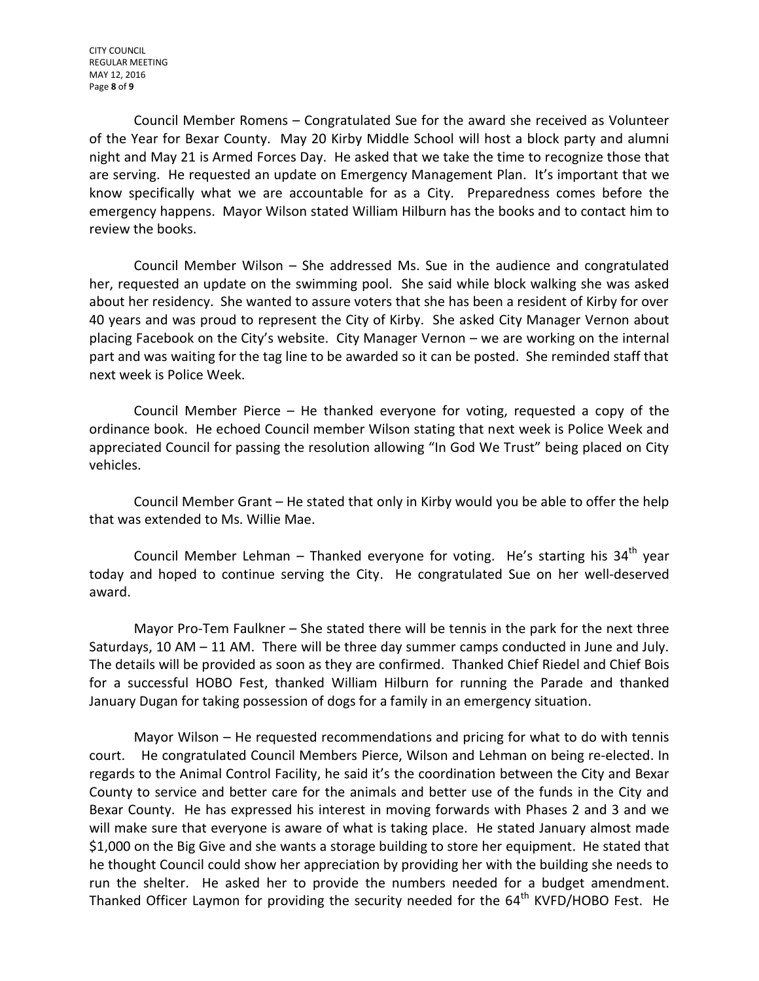CITY COUNCIL REGULAR MEETING MAY 12, 2016 Page **8** of **9**

Council Member Romens – Congratulated Sue for the award she received as Volunteer of the Year for Bexar County. May 20 Kirby Middle School will host a block party and alumni night and May 21 is Armed Forces Day. He asked that we take the time to recognize those that are serving. He requested an update on Emergency Management Plan. It's important that we know specifically what we are accountable for as a City. Preparedness comes before the emergency happens. Mayor Wilson stated William Hilburn has the books and to contact him to review the books.

Council Member Wilson – She addressed Ms. Sue in the audience and congratulated her, requested an update on the swimming pool. She said while block walking she was asked about her residency. She wanted to assure voters that she has been a resident of Kirby for over 40 years and was proud to represent the City of Kirby. She asked City Manager Vernon about placing Facebook on the City's website. City Manager Vernon – we are working on the internal part and was waiting for the tag line to be awarded so it can be posted. She reminded staff that next week is Police Week.

Council Member Pierce – He thanked everyone for voting, requested a copy of the ordinance book. He echoed Council member Wilson stating that next week is Police Week and appreciated Council for passing the resolution allowing "In God We Trust" being placed on City vehicles.

Council Member Grant – He stated that only in Kirby would you be able to offer the help that was extended to Ms. Willie Mae.

Council Member Lehman – Thanked everyone for voting. He's starting his  $34<sup>th</sup>$  year today and hoped to continue serving the City. He congratulated Sue on her well-deserved award.

Mayor Pro-Tem Faulkner – She stated there will be tennis in the park for the next three Saturdays, 10 AM – 11 AM. There will be three day summer camps conducted in June and July. The details will be provided as soon as they are confirmed. Thanked Chief Riedel and Chief Bois for a successful HOBO Fest, thanked William Hilburn for running the Parade and thanked January Dugan for taking possession of dogs for a family in an emergency situation.

Mayor Wilson – He requested recommendations and pricing for what to do with tennis court. He congratulated Council Members Pierce, Wilson and Lehman on being re-elected. In regards to the Animal Control Facility, he said it's the coordination between the City and Bexar County to service and better care for the animals and better use of the funds in the City and Bexar County. He has expressed his interest in moving forwards with Phases 2 and 3 and we will make sure that everyone is aware of what is taking place. He stated January almost made \$1,000 on the Big Give and she wants a storage building to store her equipment. He stated that he thought Council could show her appreciation by providing her with the building she needs to run the shelter. He asked her to provide the numbers needed for a budget amendment. Thanked Officer Laymon for providing the security needed for the 64<sup>th</sup> KVFD/HOBO Fest. He